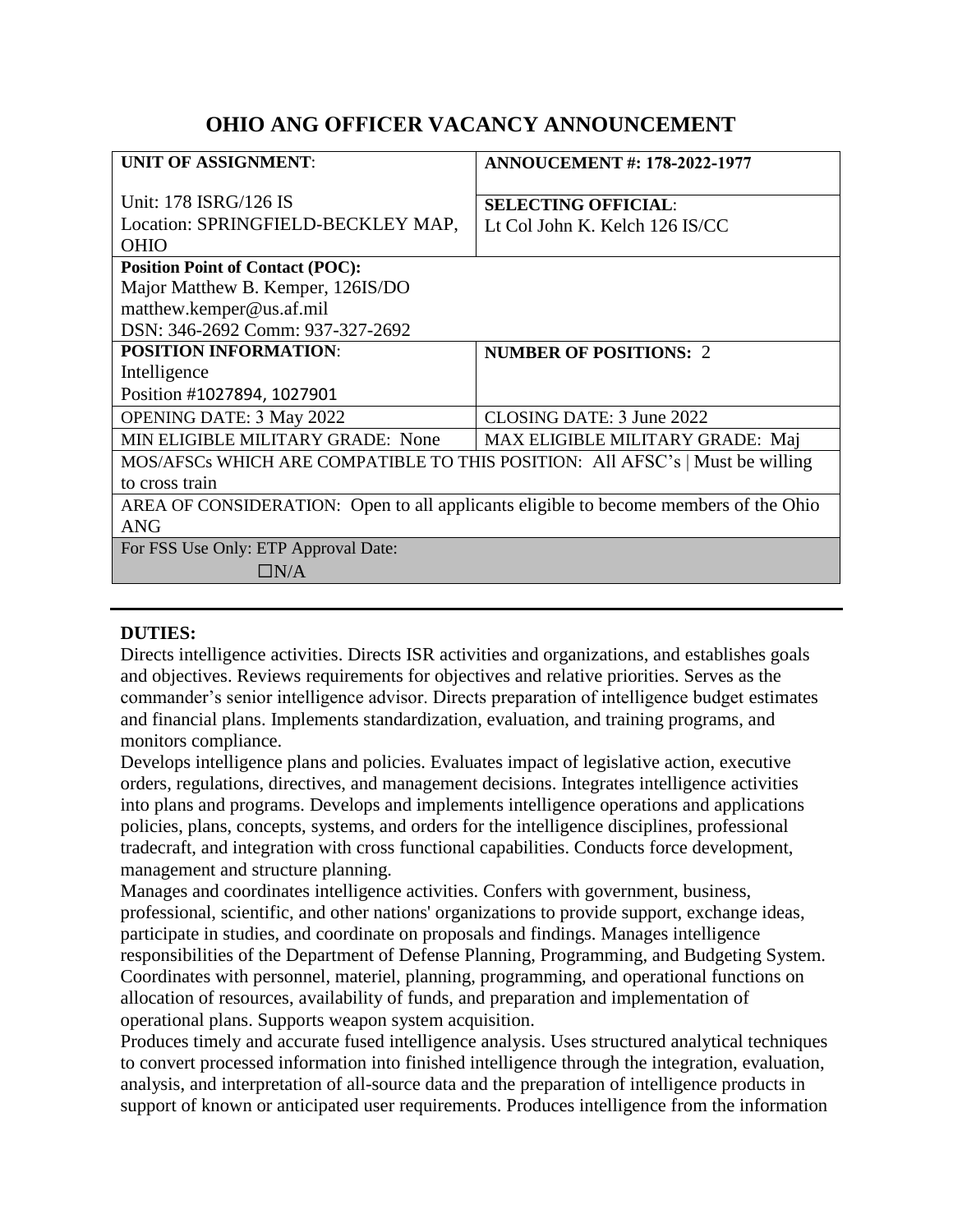# **OHIO ANG OFFICER VACANCY ANNOUNCEMENT**

| <b>UNIT OF ASSIGNMENT:</b>                                                           | <b>ANNOUCEMENT #: 178-2022-1977</b> |
|--------------------------------------------------------------------------------------|-------------------------------------|
| Unit: 178 ISRG/126 IS                                                                | <b>SELECTING OFFICIAL:</b>          |
| Location: SPRINGFIELD-BECKLEY MAP,                                                   | Lt Col John K. Kelch 126 IS/CC      |
| <b>OHIO</b>                                                                          |                                     |
| <b>Position Point of Contact (POC):</b>                                              |                                     |
| Major Matthew B. Kemper, 126IS/DO                                                    |                                     |
| matthew.kemper@us.af.mil                                                             |                                     |
| DSN: 346-2692 Comm: 937-327-2692                                                     |                                     |
| <b>POSITION INFORMATION:</b>                                                         | <b>NUMBER OF POSITIONS: 2</b>       |
| Intelligence                                                                         |                                     |
| Position #1027894, 1027901                                                           |                                     |
| <b>OPENING DATE: 3 May 2022</b>                                                      | CLOSING DATE: 3 June 2022           |
| MIN ELIGIBLE MILITARY GRADE: None                                                    | MAX ELIGIBLE MILITARY GRADE: Maj    |
| MOS/AFSCs WHICH ARE COMPATIBLE TO THIS POSITION: All AFSC's   Must be willing        |                                     |
| to cross train                                                                       |                                     |
| AREA OF CONSIDERATION: Open to all applicants eligible to become members of the Ohio |                                     |
| <b>ANG</b>                                                                           |                                     |
| For FSS Use Only: ETP Approval Date:                                                 |                                     |
| $\Box N/A$                                                                           |                                     |

## **DUTIES:**

Directs intelligence activities. Directs ISR activities and organizations, and establishes goals and objectives. Reviews requirements for objectives and relative priorities. Serves as the commander's senior intelligence advisor. Directs preparation of intelligence budget estimates and financial plans. Implements standardization, evaluation, and training programs, and monitors compliance.

Develops intelligence plans and policies. Evaluates impact of legislative action, executive orders, regulations, directives, and management decisions. Integrates intelligence activities into plans and programs. Develops and implements intelligence operations and applications policies, plans, concepts, systems, and orders for the intelligence disciplines, professional tradecraft, and integration with cross functional capabilities. Conducts force development, management and structure planning.

Manages and coordinates intelligence activities. Confers with government, business, professional, scientific, and other nations' organizations to provide support, exchange ideas, participate in studies, and coordinate on proposals and findings. Manages intelligence responsibilities of the Department of Defense Planning, Programming, and Budgeting System. Coordinates with personnel, materiel, planning, programming, and operational functions on allocation of resources, availability of funds, and preparation and implementation of operational plans. Supports weapon system acquisition.

Produces timely and accurate fused intelligence analysis. Uses structured analytical techniques to convert processed information into finished intelligence through the integration, evaluation, analysis, and interpretation of all-source data and the preparation of intelligence products in support of known or anticipated user requirements. Produces intelligence from the information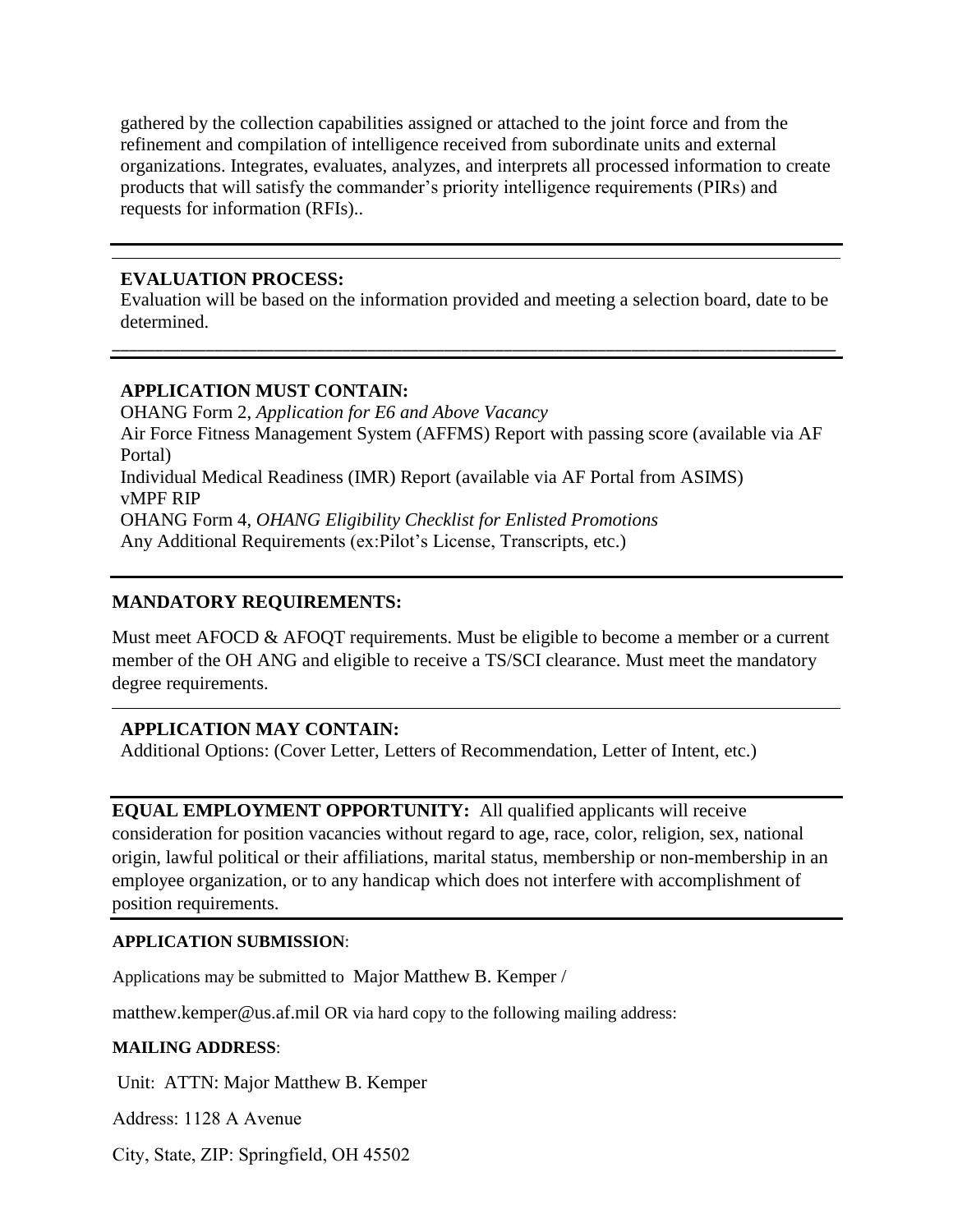gathered by the collection capabilities assigned or attached to the joint force and from the refinement and compilation of intelligence received from subordinate units and external organizations. Integrates, evaluates, analyzes, and interprets all processed information to create products that will satisfy the commander's priority intelligence requirements (PIRs) and requests for information (RFIs)..

#### **EVALUATION PROCESS:**

Evaluation will be based on the information provided and meeting a selection board, date to be determined.

\_\_\_\_\_\_\_\_\_\_\_\_\_\_\_\_\_\_\_\_\_\_\_\_\_\_\_\_\_\_\_\_\_\_\_\_\_\_\_\_\_\_\_\_\_\_\_\_\_\_\_\_\_\_\_\_\_\_\_\_\_\_\_\_\_\_\_\_\_\_\_\_\_\_\_\_\_\_\_\_\_\_\_\_\_

#### **APPLICATION MUST CONTAIN:**

OHANG Form 2, *Application for E6 and Above Vacancy* Air Force Fitness Management System (AFFMS) Report with passing score (available via AF Portal) Individual Medical Readiness (IMR) Report (available via AF Portal from ASIMS) vMPF RIP OHANG Form 4, *OHANG Eligibility Checklist for Enlisted Promotions* Any Additional Requirements (ex:Pilot's License, Transcripts, etc.)

## **MANDATORY REQUIREMENTS:**

Must meet AFOCD & AFOQT requirements. Must be eligible to become a member or a current member of the OH ANG and eligible to receive a TS/SCI clearance. Must meet the mandatory degree requirements.

## **APPLICATION MAY CONTAIN:**

Additional Options: (Cover Letter, Letters of Recommendation, Letter of Intent, etc.)

**EQUAL EMPLOYMENT OPPORTUNITY:** All qualified applicants will receive consideration for position vacancies without regard to age, race, color, religion, sex, national origin, lawful political or their affiliations, marital status, membership or non-membership in an employee organization, or to any handicap which does not interfere with accomplishment of position requirements.

#### **APPLICATION SUBMISSION**:

Applications may be submitted to Major Matthew B. Kemper /

matthew.kemper@us.af.mil OR via hard copy to the following mailing address:

#### **MAILING ADDRESS**:

Unit: ATTN: Major Matthew B. Kemper

Address: 1128 A Avenue

City, State, ZIP: Springfield, OH 45502